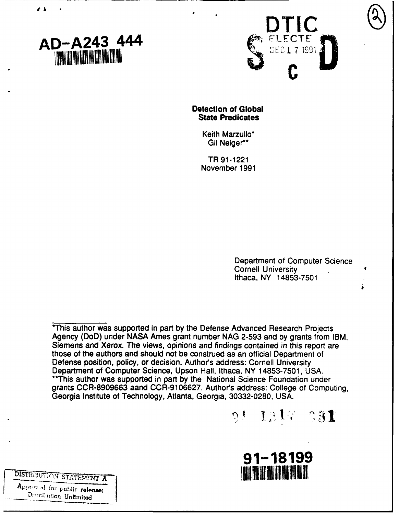



## **Detection of Global State Predicates**

Keith Marzullo\* Gil Neiger\*\*

TR **91-1221** November **1991**

> Department of Computer Science Cornell University Ithaca, NY **14853-7501**

\*This author was supported in part **by** the Defense Advanced Research Projects Agency (DoD) under **NASA** Ames grant number **NAG 2-593** and **by** grants from IBM, Siemens and Xerox. **The** views, opinions and findings contained in this report are those of the authors and should not be construed as an official Department of Defense position, policy, or decision. Author's address: Cornell University Department of Computer Science, Upson Hall, Ithaca, NY **14853-7501, USA.** \*\*This author was supported in part **by** the National Science Foundation under grants **CCR-8909663** aand **CCR-9106627.** Authors address: College of Computing, Georgia Institute of Technology, Atlanta, Georgia, **30332-0280, USA.**



**91-18199 / PI-18199** *MARE ON STATEMENT X* 

Approved for public release;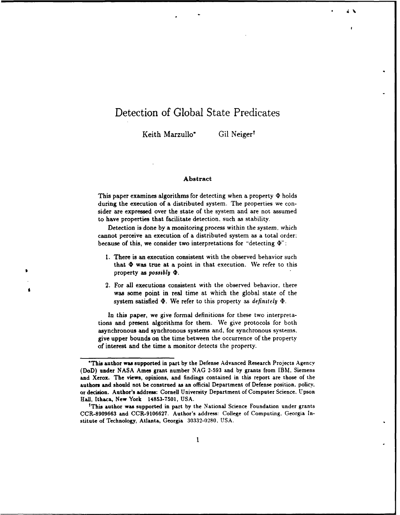# Detection of Global State Predicates

Keith Marzullo\* Gil Neigert

#### Abstract

This paper examines algorithms for detecting when a property  $\Phi$  holds during the execution of a distributed system. The properties we consider are expressed over the state of the system and are not assumed to have properties that facilitate detection, such as stability.

Detection is done **by** a monitoring process within the system, which cannot perceive an execution of a distributed system as a total order: because of this, we consider two interpretations for "detecting  $\Phi$ ":

- **1.** There is an execution consistent with the observed behavior such that  $\Phi$  was true at a point in that execution. We refer to this property as *possibly 4P.*
- 2. For all executions consistent with the observed behavior, there was some point in real time at which the global state of the system satisfied  $\Phi$ . We refer to this property as *definitely*  $\Phi$ .

In this paper, we give formal definitions for these two interpretations and present algorithms for them. We give protocols for both asynchronous and synchronous systems and, for synchronous systems. give upper bounds on the time between the occurrence of the property of interest and the time a monitor detects the property.

<sup>\*</sup>This author was supported in part **by** the Defense Advanced Research Projects Agency (DoD) under **NASA** Ames grant number **NAG 2-593** and **by** grants from **IBM.** Siemens and Xerox. The views, opinions, and findings contained in this report are those of the authors and should not be construed as an official Department of Defense position. policy. or decision. Author's address: Cornell University Department of Computer Science. Upson Hall, Ithaca, New York **14853-7501, USA.** <sup>t</sup>

This author was supported in part **by** the National Science Foundation under grants **CCR-8909663** and **CCR-9106627.** Author's address: College of Computing. Georgia Institute of Technology, Atlanta, Georgia **30332-0280. USA.**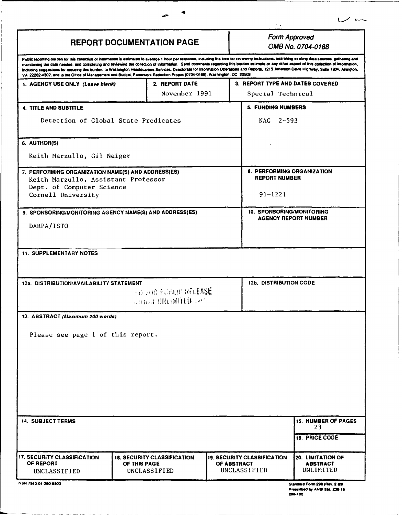| <b>REPORT DOCUMENTATION PAGE</b>                                                                                          |                                                                    | Form Approved<br>OMB No. 0704-0188                                                                                                                                                                                                                                                                                                                                                                                                                                                                                                                                                                    |
|---------------------------------------------------------------------------------------------------------------------------|--------------------------------------------------------------------|-------------------------------------------------------------------------------------------------------------------------------------------------------------------------------------------------------------------------------------------------------------------------------------------------------------------------------------------------------------------------------------------------------------------------------------------------------------------------------------------------------------------------------------------------------------------------------------------------------|
| VA 22202-4302, and to the Office of Management and Budget, Paperwork Reduction Project (0704-0188), Washington, DC 20503. |                                                                    | Public reporting burden for this collection of information is estimated to average 1 hour per response, including the lime for reviewing Instructions, aearching existing data sources, gathering and<br>maintaning the data needed, and completing and reviewing the collection of information. Send comments regarding this burden estimate or any other aspect of this collection of information,<br>including suggestions for reducing this burden, to Washington Headquarters Services, Directorate for information Operations and Reports, 1215 Jefferson Davis Highway, Suite 1204, Arlington, |
| 1. AGENCY USE ONLY (Leave blank)                                                                                          | 2. REPORT DATE                                                     | 3. REPORT TYPE AND DATES COVERED                                                                                                                                                                                                                                                                                                                                                                                                                                                                                                                                                                      |
|                                                                                                                           | November 1991                                                      | Special Technical                                                                                                                                                                                                                                                                                                                                                                                                                                                                                                                                                                                     |
| <b>4. TITLE AND SUBTITLE</b>                                                                                              |                                                                    | 5. FUNDING NUMBERS                                                                                                                                                                                                                                                                                                                                                                                                                                                                                                                                                                                    |
| Detection of Global State Predicates                                                                                      |                                                                    | NAG 2-593                                                                                                                                                                                                                                                                                                                                                                                                                                                                                                                                                                                             |
| 6. AUTHOR(S)                                                                                                              |                                                                    |                                                                                                                                                                                                                                                                                                                                                                                                                                                                                                                                                                                                       |
| Keith Marzullo, Gil Neiger                                                                                                |                                                                    |                                                                                                                                                                                                                                                                                                                                                                                                                                                                                                                                                                                                       |
| 7. PERFORMING ORGANIZATION NAME(S) AND ADDRESS(ES)<br>Keith Marzullo, Assistant Professor<br>Dept. of Computer Science    |                                                                    | 8. PERFORMING ORGANIZATION<br><b>REPORT NUMBER</b>                                                                                                                                                                                                                                                                                                                                                                                                                                                                                                                                                    |
| Cornell University                                                                                                        |                                                                    | $91 - 1221$                                                                                                                                                                                                                                                                                                                                                                                                                                                                                                                                                                                           |
| 9. SPONSORING/MONITORING AGENCY NAME(S) AND ADDRESS(ES)<br>DARPA/ISTO                                                     |                                                                    | <b>10. SPONSORING/MONITORING</b><br><b>AGENCY REPORT NUMBER</b>                                                                                                                                                                                                                                                                                                                                                                                                                                                                                                                                       |
| 12a. DISTRIBUTION/AVAILABILITY STATEMENT                                                                                  | an any fubulo release<br><b>ALTION UNLIMITED AT</b>                | <b>12b. DISTRIBUTION CODE</b>                                                                                                                                                                                                                                                                                                                                                                                                                                                                                                                                                                         |
| 13. ABSTRACT (Maximum 200 words)                                                                                          |                                                                    |                                                                                                                                                                                                                                                                                                                                                                                                                                                                                                                                                                                                       |
| Please see page 1 of this report.                                                                                         |                                                                    |                                                                                                                                                                                                                                                                                                                                                                                                                                                                                                                                                                                                       |
| <b>14. SUBJECT TERMS</b>                                                                                                  |                                                                    | <b>15. NUMBER OF PAGES</b><br>23                                                                                                                                                                                                                                                                                                                                                                                                                                                                                                                                                                      |
|                                                                                                                           |                                                                    | 16. PRICE CODE                                                                                                                                                                                                                                                                                                                                                                                                                                                                                                                                                                                        |
| 17. SECURITY CLASSIFICATION<br>OF REPORT<br>UNCLASSIFIED                                                                  | <b>18. SECURITY CLASSIFICATION</b><br>OF THIS PAGE<br>UNCLASSIFIED | 19. SECURITY CLASSIFICATION<br>20. LIMITATION OF<br>OF ABSTRACT<br><b>ABSTRACT</b><br>UNCLASSIFIED<br>UNLIMITED                                                                                                                                                                                                                                                                                                                                                                                                                                                                                       |
| NSN 7540-01-280-5500                                                                                                      |                                                                    | Standard Form 298 (Rev. 2-89)                                                                                                                                                                                                                                                                                                                                                                                                                                                                                                                                                                         |

 $\sim$   $\sim$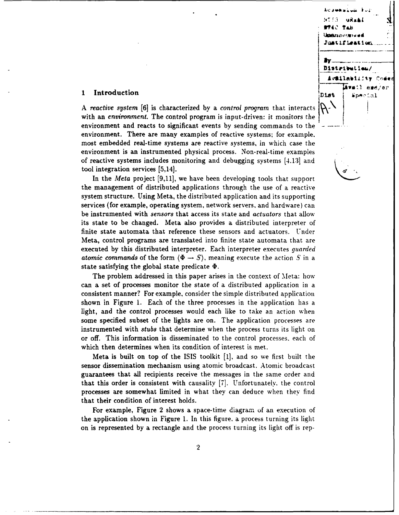

**A** *reactive system [6]* is characterized **by** a *control program* that interacts with an *environment.* The control program is input-driven: it monitors the environment and reacts to significant events by sending commands to the environment. There are many examples of reactive systems; for example. most embedded real-time systems are reactive systems, in which case the environment is an instrumented physical process. Non-real-time examples of reactive systems includes monitoring and debugging systems [4.131 and tool integration services [5,14].

In the *Meta* project [9,11], we have been developing tools that support the management of distributed applications through the use of a reactive system structure. Using Meta, the distributed application and its supporting services (for example, operating system, network servers, and hardware) can be instrumented with *sensors* that access its state and *actuators* that allow its state to be changed. Meta also provides a distributed interpreter of finite state automata that reference these sensors and actuators. Under Meta, control programs are translated into finite state automata that are executed by this distributed interpreter. Each interpreter executes *guarded atomic commands* of the form  $\langle \Phi \rightarrow S \rangle$ , meaning execute the action S in a state satisfying the global state predicate **4.**

The problem addressed in this paper arises in the context of Meta: how can a set of processes monitor the state of a distributed application in a consistent manner? For example, consider the simple distributed application shown in Figure 1. Each of the three processes in the application has a light, and the control processes would each like to take an action when some specified subset of the lights are on. The application processes are instrumented with *stubs* that determine when the process turns its light on or off. This information is disseminated to the control processes. each of which then determines when its condition of interest is met.

Meta is built on top of the ISIS toolkit [1], and so we first built the sensor dissemination mechanism using atomic broadcast. Atomic broadcast guarantees that all recipients receive the messages in the same order and that this order is consistent with causality [7]. Unfortunately. the control processes are somewhat limited in what they can deduce when they find that their condition of interest holds.

For example, Figure 2 shows a space-time diagram of an execution of the application shown in Figure 1. In this figure. a process turning its light on is represented by a rectangle and the process turning its light off is rep-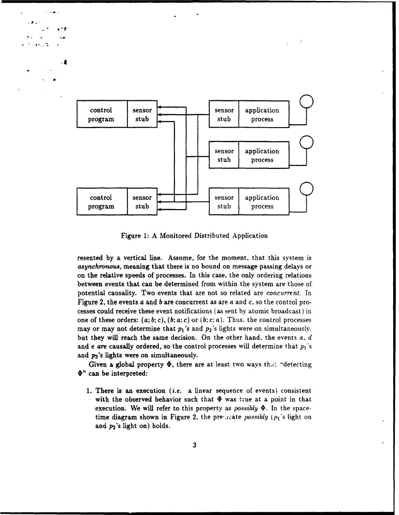

Figure **1:** A Monitored Distributed Application

resented **by** a vertical line. Assume, for the moment, that this system is *asynchronous,* meaning that there is no bound on message passing delays or on the relative speeds of processes. In this case, the only ordering relations between events that can be determined from within the system are those of potential causality. Two events that are not so related are *concurrent*. In Figure 2, the events a and *b* are concurrent as are a and *c.* so the control processes could receive these event notifications (as sent by atomic broadcast) in one of these orders:  $(a; b; c)$ ,  $(b; a; c)$  or  $(b; c; a)$ . Thus. the control processes may or may not determine that  $p_1$ 's and  $p_2$ 's lights were on simultaneously. but they will reach the same decision. On the other hand. the events a. *d* and *e are* causally ordered, so the control processes will determine that  $p_1$ 's and  $p_3$ 's lights were on simultaneously.

Given a global property  $\Phi$ , there are at least two ways that "detecting  $\Phi$ " can be interpreted:

**1.** There is an execution *(i.e.* a linear sequence of events) consistent with the observed behavior such that  $\Phi$  was true at a point in that execution. We will refer to this property as *possibly .* In the spacetime diagram shown in Figure 2, the predicate *possibly* ( $p_1$ 's light on and  $p_2$ 's light on) holds.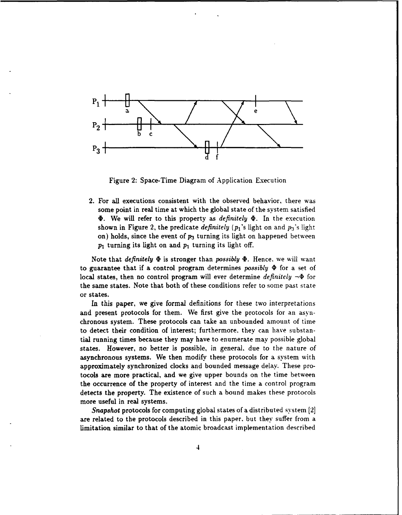

Figure 2: Space-Time Diagram of Application Execution

2. For all executions consistent with the observed behavior, there was some point in real time at which the global state of the system satisfied **.** We will refer to this property as *definitely .* In the execution shown in Figure 2, the predicate *definitely*  $(p_1)$ 's light on and  $p_3$ 's light on) holds, since the event of **p3** turning its light on happened between **pi** turning its light on and **pi** turning its light off.

Note that *definitely*  $\Phi$  is stronger than *possibly*  $\Phi$ . Hence, we will want to guarantee that if a control program determines *possibly* 4 for a set of local states, then no control program will ever determine *definitely*  $\neg \Phi$  for the same states. Note that both of these conditions refer to some past state or states.

In this paper, we give formal definitions for these two interpretations and present protocols for them. We first give the protocols for an asynchronous system. These protocols can take an unbounded amount of time to detect their condition of interest; furthermore. they can have substantial running times because they may have to enumerate may possible global states. However, no better is possible, in general, due to the nature of asynchronous systems. We then modify these protocols for a system with approximately synchronized clocks and bounded message delay. These protocols are more practical, and we give upper bounds on the time between the occurrence of the property of interest and the time a control program detects the property. The existence of such a bound makes these protocols more useful in real systems.

*Snapshot* protocols for computing global states of a distributed system **[2]** are related to the protocols described in this paper. but they suffer from a limitation similar to that of the atomic broadcast implementation described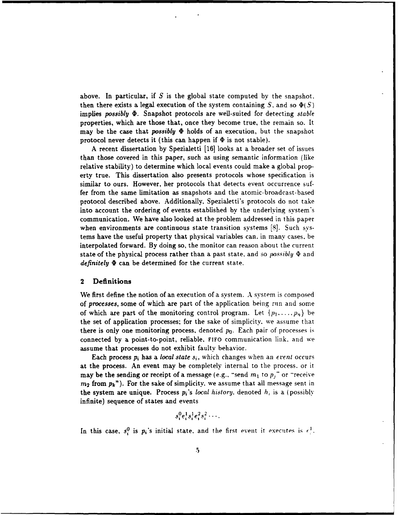above. In particular, if *S* is the global state computed by the snapshot. then there exists a legal execution of the system containing  $S$ , and so  $\Phi(S)$ implies *possibly*  $\Phi$ . Snapshot protocols are well-suited for detecting *stable* properties, which are those that, once they become true, the remain so. It may be the case that *possibly* t holds of an execution, but the snapshot protocol never detects it (this can happen if  $\Phi$  is not stable).

A recent dissertation by Spezialetti [16] looks at a broader set of issues than those covered in this paper, such as using semantic information (like relative stability) to determine which local events could make a global property true. This dissertation also presents protocols whose specification is similar to ours. However, her protocols that detects event occurrence suffer from the same limitation as snapshots and the atomic-broadcast-based protocol described above. Additionally, Spezialetti's protocols do not take into account the ordering of events established by the underlying system's communication. We have also looked at the problem addressed in this paper when environments are continuous state transition systems [8]. Such systems have the useful property that physical variables can. in many cases, be interpolated forward. By doing so, the monitor can reason about the current state of the physical process rather than a past state. and so *possibly \$* and *definitely*  $\Phi$  can be determined for the current state.

#### 2 Definitions

We first define the notion of an execution of a system. A system is composed of *processes,* some of which are part of the application being run and some of which are part of the monitoring control program. Let  $\{p_1, \ldots, p_n\}$  be the set of application processes; for the sake of simplicity, we assume that there is only one monitoring process, denoted  $p_0$ . Each pair of processes is connected by a point-to-point, reliable, **FIFO** communication link. and we assume that processes do not exhibit faulty behavior.

Each process  $p_i$  has a *local state*  $s_i$ , which changes when an *event* occurs at the process. An event may be completely internal to the process. or it may be the sending or receipt of a message (e.g., "send  $m_1$  to  $p_j$ " or "receive *M2* from **Pk").** For the sake of simplicity, we assume that **all** message sent in the system are unique. Process  $p_i$ 's *local history*, denoted  $h_i$  is a (possibly infinite) sequence of states and events

$$
s_i^0e_i^1s_i^1e_i^2s_i^2\cdots
$$

In this case,  $s_i^0$  is  $p_i$ 's initial state, and the first event it executes is  $\epsilon_i^1$ .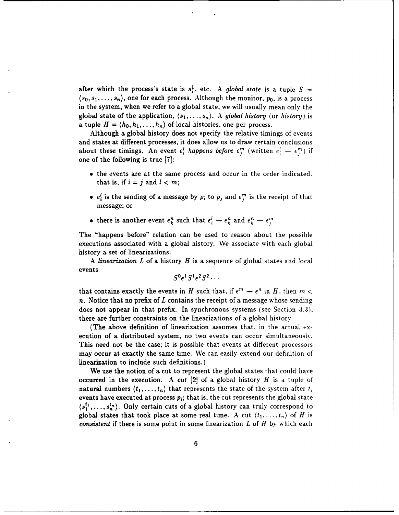after which the process's state is  $s_i^1$ , etc. A *global state* is a tuple  $S =$  $\langle s_0, s_1, \ldots, s_n \rangle$ , one for each process. Although the monitor,  $p_0$ , is a process in the system, when we refer to a global state, we will usually mean only the global state of the application,  $(s_1, \ldots, s_n)$ . A global history (or history) is a tuple  $H = \langle h_0, h_1, \ldots, h_n \rangle$  of local histories, one per process.

Although a global history does not specify the relative timings of events and states at different processes, it does allow us to draw certain conclusions about these timings. An event  $e_i^l$  happens before  $e_j^m$  (written  $e_i^l - e_j^m$ ) if one of the following is true **[7]:**

- **"** the events are at the same process and occur in the order indicated. that is, if  $i = j$  and  $l < m$ ;
- $e_i^l$  is the sending of a message by  $p_i$  to  $p_j$  and  $e_i^m$  is the receipt of that message; or
- there is another event  $e_k^n$  such that  $e_i^l \rightarrow e_k^n$  and  $e_k^n \rightarrow e_i^m$ .

The "happens before" relation can be used to reason about the possible executions associated with a global history. We associate with each global history a set of linearizations.

A *linearization L* of a history *H* is a sequence of global states and local events

$$
S^0e^1S^1e^2S^2\cdots
$$

that contains exactly the events in *H* such that, if  $e^m - e^n$  in *H*, then  $m <$ *n.* Notice that no prefix of *L* contains the receipt of a message whose sending does not appear in that prefix. In synchronous systems (see Section **3.3).** there are further constraints on the linearizations of a global history.

(The above definition of linearization assumes that, in the actual execution of a distributed system, no two events can occur simultaneously. This need not be the case; it is possible that events at different processors may occur at exactly the same time. We can easily extend our definition of linearization to include such definitions.)

We use the notion of a cut to represent the global states that could have occurred in the execution. A *cut* [2] of a global history *H* is a tuple of natural numbers  $\langle t_1, \ldots, t_n \rangle$  that represents the state of the system after  $t_i$ events have executed at process  $p_i$ ; that is, the cut represents the global state  $\langle s_1^{t_1}, \ldots, s_n^{t_n} \rangle$ . Only certain cuts of a global history can truly correspond to global states that took place at some real time. A cut  $\langle t_1, \ldots, t_n \rangle$  of *H* is *consistent* if there is some point in some linearization *L* of *H* by which each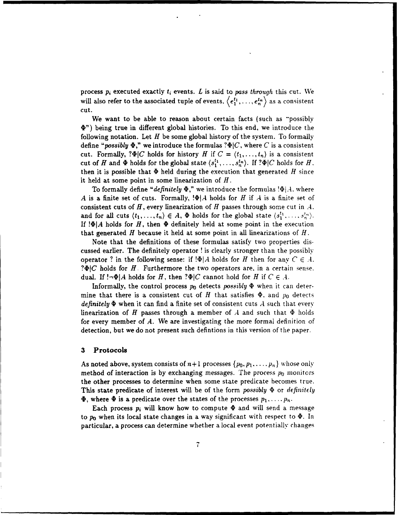process  $p_i$  executed exactly  $t_i$  events.  $L$  is said to pass through this cut. We will also refer to the associated tuple of events.  $\langle e_1^{t_1}, \ldots, e_n^{t_n} \rangle$  as a consistent cut.

We want to be able to reason about certain facts (such as "possibly **V")** being true in different global histories. To this end, we introduce the following notation. Let *H* be some global history of the system. To formally define "*possibly*  $\Phi$ ," we introduce the formulas ? $\Phi$ |*C*, where *C* is a consistent cut. Formally,  $? \Phi | C$  holds for history *H* if  $C = \langle t_1, \ldots, t_n \rangle$  is a consistent cut of *H* and  $\Phi$  holds for the global state  $\langle s_1^{t_1}, \ldots, s_n^{t_n} \rangle$ . If  $? \Phi | C$  holds for *H*. then it is possible that  $\Phi$  held during the execution that generated *H* since it held at some point in some linearization of *H.*

To formally define "*definitely*  $\Phi$ ," we introduce the formulas  $\Phi|A$ . where *A* is a finite set of cuts. Formally, *!\$IA* holds for *H* if *A* is a finite set of consistent cuts of *H,* every linearization of *H* passes through some cut in *A.* and for all cuts  $\langle t_1,\ldots,t_n\rangle \in A$ ,  $\Phi$  holds for the global state  $\langle s_1^{t_1},\ldots,s_n^{t_n}\rangle$ . If  $\Phi$ *A* holds for *H*, then  $\Phi$  definitely held at some point in the execution that generated *H* because it held at some point in all linearizations of *H.*

Note that the definitions of these formulas satisfy two properties discussed earlier. The definitely operator ! is clearly stronger than the possibly operator ? in the following sense: if  $\Phi|A$  holds for *H* then for any  $C \in A$ . *?* $\Phi$ *|C* holds for *H*. Furthermore the two operators are, in a certain sense. dual. If  $\cdot \neg \Phi | A$  holds for *H*, then  $\partial \Phi | C$  cannot hold for *H* if  $C \in A$ .

Informally, the control process  $p_0$  detects *possibly*  $\Phi$  when it can determine that there is a consistent cut of *H* that satisfies  $\Phi$ , and  $p_0$  detects *definitely*  $\Phi$  when it can find a finite set of consistent cuts  $\overline{A}$  such that every linearization of *H* passes through a member of *A* and such that  $\Phi$  holds for every member of *A.* We are investigating the more formal definition of detection, but we do not present such defintions in this version of the paper.

#### **3** Protocols

As noted above, system consists of  $n+1$  processes  $\{p_0, p_1, \ldots, p_n\}$  whose only method of interaction is by exchanging messages. The process  $p_0$  monitors the other processes to determine when some state predicate becomes true. This state predicate of interest will be of the form *possibly* **ib** or *definitely*  $\Phi$ , where  $\Phi$  is a predicate over the states of the processes  $p_1, \ldots, p_n$ .

Each process  $p_i$  will know how to compute  $\Phi$  and will send a message to  $p_0$  when its local state changes in a way significant with respect to  $\Phi$ . In particular, a process can determine whether a local event potentially changes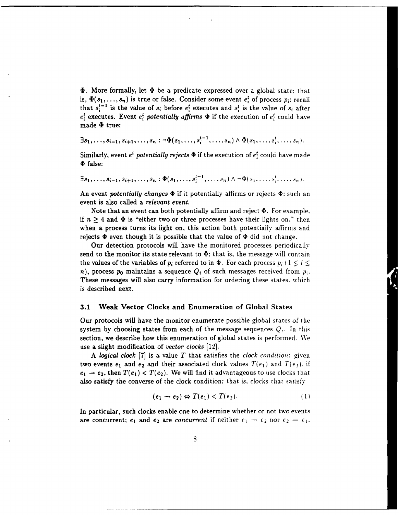$\Phi$ . More formally, let  $\Phi$  be a predicate expressed over a global state; that is,  $\Phi(s_1,...,s_n)$  is true or false. Consider some event  $e_i^t$  of process  $p_i$ ; recall that  $s_i^{t-1}$  is the value of  $s_i$  before  $e_i^t$  executes and  $s_i^t$  is the value of  $s_i$  after  $e_i^t$  executes. Event  $e_i^t$  potentially affirms  $\Phi$  if the execution of  $e_i^t$  could have made  $\Phi$  true:

$$
\exists s_1, \ldots, s_{i-1}, s_{i+1}, \ldots, s_n : \neg \Phi(s_1, \ldots, s_i^{t-1}, \ldots, s_n) \wedge \Phi(s_1, \ldots, s_i^t, \ldots, s_n).
$$

Similarly, event  $e^i$  *potentially rejects*  $\Phi$  if the execution of  $e^i$  could have made **4t** false:

 $\exists s_1, \ldots, s_{i-1}, s_{i+1}, \ldots, s_n : \Phi(s_1, \ldots, s_i^{t-1}, \ldots, s_n) \wedge \neg \Phi(s_1, \ldots, s_i^t, \ldots, s_n).$ 

An event *potentially changes*  $\Phi$  if it potentially affirms or rejects  $\Phi$ : such an event is also called a *relevant event.*

Note that an event can both potentially affirm and reject  $\Phi$ . For example. if  $n \geq 4$  and  $\Phi$  is "either two or three processes have their lights on." then when a process turns its light on, this action both potentially affirms and rejects  $\Phi$  even though it is possible that the value of  $\Phi$  did not change.

Our detection protocols will have the monitored processes periodically send to the monitor its state relevant to  $\Phi$ ; that is, the message will contain the values of the variables of  $p_i$  referred to in  $\Phi$ . For each process  $p_i$  ( $1 \leq i \leq$ *n*), process  $p_0$  maintains a sequence  $Q_i$  of such messages received from  $p_i$ . These messages will also carry information for ordering these states. which is described next.

#### **3.1** Weak Vector Clocks and Enumeration of Global States

Our protocols will have the monitor enumerate possible global states of the system by choosing states from each of the message sequences  $Q_i$ . In this section, we describe how this enumeration of global states is performed. We use a slight modification of *vector clocks (12].*

A *logical clock* [7] is a value *T* that satisfies the *clock condition:* given two events  $e_1$  and  $e_2$  and their associated clock values  $T(e_1)$  and  $T(e_2)$ . if  $e_1 \rightarrow e_2$ , then  $T(e_1) < T(e_2)$ . We will find it advantageous to use clocks that also satisfy the converse of the clock condition; that is, clocks that satisfy

$$
(e_1 \rightarrow e_2) \Leftrightarrow T(e_1) < T(e_2). \tag{1}
$$

In particular, such clocks enable one to determine whether or not two events are concurrent;  $e_1$  and  $e_2$  are *concurrent* if neither  $e_1 - e_2$  nor  $e_2 - e_1$ .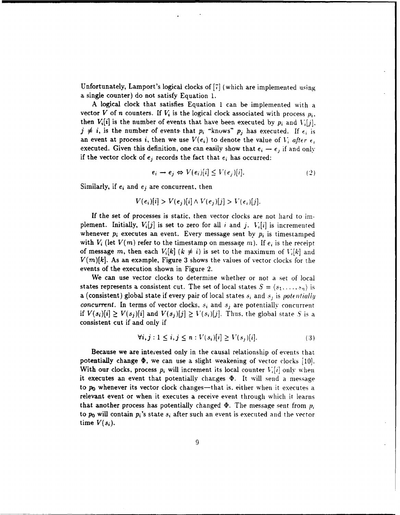Unfortunately, Lamport's logical clocks of [7] (which are implemented using a single counter) do not satisfy Equation 1.

A logical clock that satisfies Equation 1 can be implemented with a vector *V* of *n* counters. If  $V_i$  is the logical clock associated with process  $p_i$ . then  $V_i[i]$  is the number of events that have been executed by  $p_i$  and  $V_i[j]$ .  $j \neq i$ , is the number of events that  $p_i$  "knows"  $p_j$  has executed. If  $\epsilon_i$  is an event at process *i*, then we use  $V(e_i)$  to denote the value of  $V_i$  after  $e_i$ executed. Given this definition, one can easily show that  $e_i \rightarrow e_j$  if and only if the vector clock of  $e_j$  records the fact that  $e_i$  has occurred:

$$
e_i \to e_j \Leftrightarrow V(e_i)[i] \le V(e_j)[i]. \tag{2}
$$

Similarly, if  $e_i$  and  $e_j$  are concurrent, then

$$
V(e_i)[i] > V(e_j)[i] \wedge V(e_j)[j] > V(e_i)[j].
$$

If the set of processes is static, then vector clocks are not hard to implement. Initially,  $V_i[j]$  is set to zero for all *i* and *j*.  $V_i[i]$  is incremented whenever  $p_i$  executes an event. Every message sent by  $p_i$  is timestamped with  $V_i$  (let  $V(m)$  refer to the timestamp on message m). If  $e_i$  is the receipt of message *m*, then each  $V_i[k]$  ( $k \neq i$ ) is set to the maximum of  $V_i[k]$  and *V(m)fk].* As an example, Figure 3 shows the values of vector clocks for the events of the execution shown in Figure 2.

We can use vector clocks to determine whether or not a set of local states represents a consistent cut. The set of local states  $S = \langle s_1, \ldots, s_n \rangle$  is a (consistent) global state if every pair of local states **.s,** and s, is potentially *concurrent*. In terms of vector clocks,  $s_i$  and  $s_j$  are potentially concurrent if  $V(s_i)[i] \geq V(s_j)[i]$  and  $V(s_j)[j] \geq V(s_i)[j]$ . Thus, the global state *S* is a consistent cut if and only if

$$
\forall i, j: 1 \leq i, j \leq n: V(s_i)[i] \geq V(s_j)[i]. \tag{3}
$$

Because we are interested only in the causal relationship of events that potentially change  $\Phi$ , we can use a slight weakening of vector clocks [10]. With our clocks, process  $p_i$  will increment its local counter  $V_i[i]$  only when it executes an event that potentially changes  $\Phi$ . It will send a message to  $p_0$  whenever its vector clock changes—that is, either when it executes a relevant event or when it executes a receive event through which it learns that another process has potentially changed  $\Phi$ . The message sent from  $p_i$ to **po** will contain pi's state **si** after such an event is executed and the vector time  $V(s_i)$ .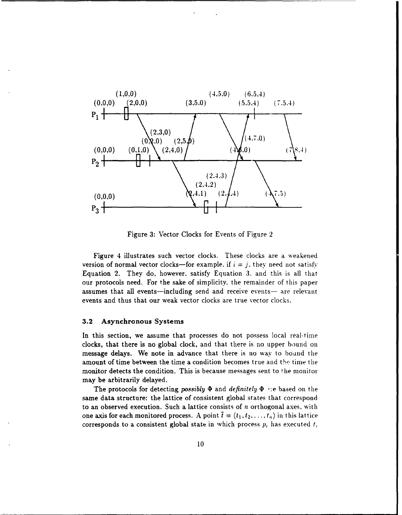

Figure **3:** Vector Clocks for Events of Figure 2

Figure 4 illustrates such vector clocks. These clocks are a weakened **version of normal vector clocks—for example.** if  $i = j$ , they need not satisfy Equation 2. They do, however, satisfy Equation 3. and this is all that our protocols need. For the sake of simplicity, the remainder of this paper assumes that all events—including send and receive events— are relevant events and thus that our weak vector clocks are true vector clocks.

#### **3.2** Asynchronous Systems

In this section, we assume that processes do not possess local real-time clocks, that there is no global clock, and that there is no upper bound on message delays. We note in advance that there is no way to bound the amount of time between the time a condition becomes true and the time the monitor detects the condition. This is because messages sent to tie monitor may be arbitrarily delayed.

The protocols for detecting *possibly*  $\Phi$  and *definitely*  $\Phi$  are based on the same data structure: the lattice of consistent global states that correspond to an observed execution. Such a lattice consists of *n* orthogonal axes. with one axis for each monitored process. A point  $\bar{t} = \langle t_1, t_2, \ldots, t_n \rangle$  in this lattice corresponds to a consistent global state in which process *pi* has executed *t,*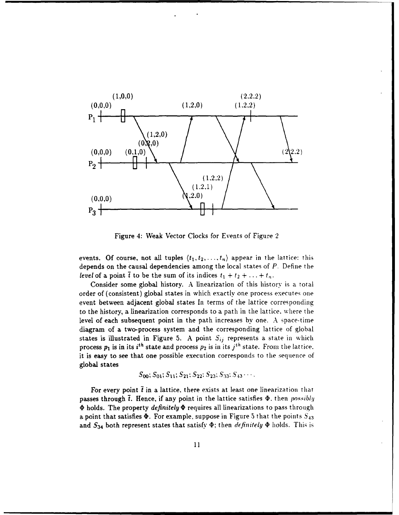

Figure 4: Weak Vector Clocks for Events of Figure 2

events. Of course, not all tuples  $\langle t_1, t_2, \ldots, t_n \rangle$  appear in the lattice: this depends on the causal dependencies among the local states of *P.* Define the *level* of a point  $\bar{t}$  to be the sum of its indices  $t_1 + t_2 + \ldots + t_n$ .

Consider some global history. A linearization of this history is a total order of (consistent) global states in which exactly one process executes one event between adjacent global states In terms of the lattice corresponding to the history, a linearization corresponds to a path in the lattice. where the level of each subsequent point in the path increases **by** one. A space-time diagram of a two-process system and the corresponding lattice of global states is illustrated in Figure 5. A point  $S_{ij}$  represents a state in which process  $p_1$  is in its *i<sup>th</sup>* state and process  $p_2$  is in its  $j<sup>th</sup>$  state. From the lattice. it is easy to see that one possible execution corresponds to the sequence of global states

$$
S_{00}
$$
;  $S_{01}$ ;  $S_{11}$ ;  $S_{21}$ ;  $S_{22}$ ;  $S_{23}$ ;  $S_{33}$ ;  $S_{43}$ ...

For every point  $\bar{t}$  in a lattice, there exists at least one linearization that passes through  $\bar{t}$ . Hence, if any point in the lattice satisfies  $\Phi$ , then *possibly*  $\Phi$  holds. The property *definitely*  $\Phi$  requires all linearizations to pass through a point that satisfies  $\Phi$ . For example, suppose in Figure 5 that the points  $S_{43}$ and  $S_{34}$  both represent states that satisfy  $\Phi$ ; then *definitely*  $\Phi$  holds. This is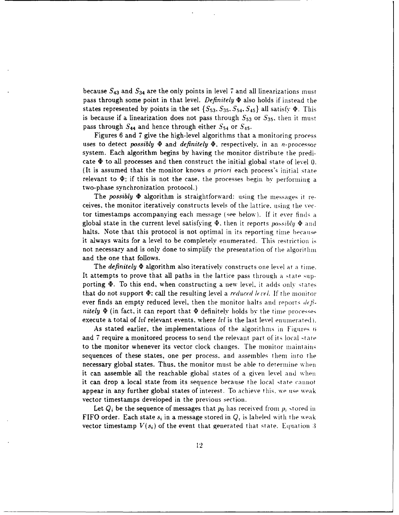because  $S_{43}$  and  $S_{34}$  are the only points in level 7 and all linearizations must pass through some point in that level. *Definitely*  $\Phi$  also holds if instead the states represented by points in the set  $\{S_{53}, S_{35}, S_{54}, S_{45}\}\$ all satisfy  $\Phi$ . This is because if a linearization does not pass through  $S_{53}$  or  $S_{35}$ , then it must pass through  $S_{44}$  and hence through either  $S_{54}$  or  $S_{45}$ .

Figures 6 and 7 give the high-level algorithms that a monitoring process uses to detect *possibly*  $\Phi$  and *definitely*  $\Phi$ , respectively, in an *n*-processor system. Each algorithm begins by having the monitor distribute the predicate  $\Phi$  to all processes and then construct the initial global state of level 0. (It is assumed that the monitor knows *a priori* each process's initial state relevant to  $\Phi$ ; if this is not the case, the processes begin by performing a two-phase synchronization protocol.)

The *possibly*  $\Phi$  algorithm is straightforward: using the messages it receives. the monitor iteratively constructs levels of the lattice, using the vector timestamps accompanying each message (see below). If it ever finds a global state in the current level satisfying  $\Phi$ , then it reports *possibly*  $\Phi$  and halts. Note that this protocol is not optimal in its reporting time because it always waits for a level to be completely enumerated. This restriction is not necessary and is only done to simplify the presentation of the algorithm and the one that follows.

The *definitely*  $\Phi$  algorithm also iteratively constructs one level at a time. It attempts to prove that all paths in the lattice pass through a state supporting  $\Phi$ . To this end, when constructing a new level, it adds only states that do not support  $\Phi$ ; call the resulting level a *reduced level*. If the monitor ever finds an empty reduced level, then the monitor halts and reports  $d\epsilon \hat{h}$ *nitely*  $\Phi$  (in fact, it can report that  $\Phi$  definitely holds by the time processes execute a total of *lvl* relevant events, where *lvl* is the last level enumerated).

As stated earlier, the implementations of the algorithms in Figures 6 and 7 require a monitored process to send the relevant part of its local state to the monitor whenever its vector clock changes. The monitor maintains sequences of these states, one per process. and assembles them into the necessary global states. Thus. the monitor must be able to determine when it can assemble all the reachable global states of a given level and when it can drop a local state from its sequence because the local state cannot appear in any further global states of interest. To achieve this, we use weak vector timestamps developed in the previous section.

Let  $Q_i$  be the sequence of messages that  $p_0$  has received from  $p_i$  stored in FIFO order. Each state  $s_i$  in a message stored in  $Q_i$  is labeled with the weak vector timestamp  $V(s_i)$  of the event that generated that state. Equation 3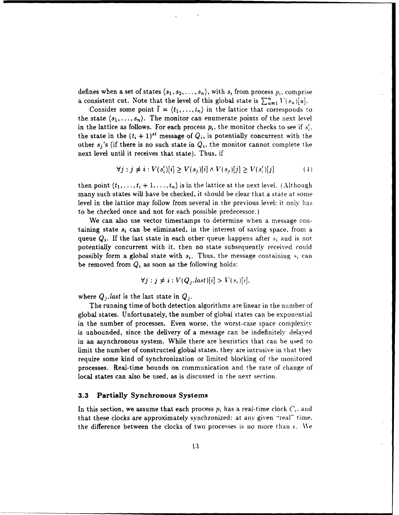defines when a set of states  $\langle s_1, s_2, \ldots, s_n \rangle$ , with  $s_i$  from process  $p_i$ , comprise a consistent cut. Note that the level of this global state is  $\sum_{u=1}^{n} V(s_u)[u]$ .

Consider some point  $\bar{t} = \langle t_1, \ldots, t_n \rangle$  in the lattice that corresponds to the state  $\langle s_1, \ldots, s_n \rangle$ . The monitor can enumerate points of the next level in the lattice as follows. For each process  $p_i$ , the monitor checks to see if  $s'_i$ . the state in the  $(t_i + 1)^{st}$  message of  $Q_i$ , is potentially concurrent with the other  $s_j$ 's (if there is no such state in  $Q_i$ , the monitor cannot complete the next level until it receives that state). Thus, if

$$
\forall j: j \neq i: V(s'_i)[i] \geq V(s_j)[i] \wedge V(s_j)[j] \geq V(s'_i)[j] \tag{4}
$$

then point  $\langle t_1,\ldots,t_i+1,\ldots,t_n\rangle$  is in the lattice at the next level. (Although many such states will have be checked, it should be clear that a state at some level in the lattice may follow from several in the previous level: it only has to be checked once and not for each possible predecessor.)

We can also use vector timestamps to determine when a message containing state  $s_i$  can be eliminated, in the interest of saving space. from a queue  $Q_i$ . If the last state in each other queue happens after  $s_i$  and is not potentially concurrent with it. then no state subsequently received could possibly form a global state with  $s_i$ . Thus. the message containing  $s_i$  can be removed from  $Q_i$  as soon as the following holds:

$$
\forall j : j \neq i : V(Q_j, last)[i] > V(s_i)[i].
$$

where  $Q_j$  *last* is the last state in  $Q_j$ .

The running time of both detection algorithms are linear in the number of global states. Unfortunately, the number of global states can be exponential in the number of processes. Even worse. the worst-case space complexity is unbounded, since the delivery of a message can be indefinitely delayed in an asynchronous system. While there are heuristics that can be used to limit the number of constructed global states. they are intrusive in that they require some kind of synchronization or limited blocking of the monitored processes. Real-time bounds on communication and the rate of change of local states can also be used, as is discussed in the next section.

#### **3.3** Partially Synchronous Systems

In this section, we assume that each process  $p_i$  has a real-time clock  $C_i$ , and that these clocks are approximately synchronized: at any given "real" time. the difference between the clocks of two processes is no more than *c. We*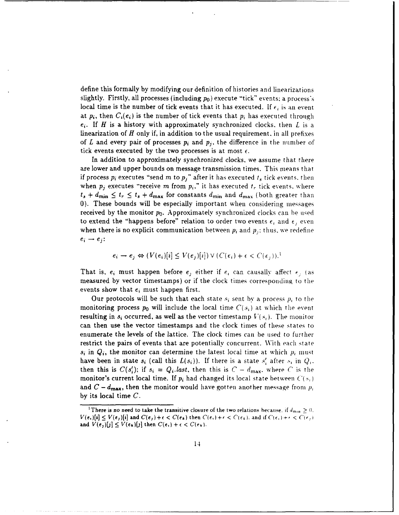define this formally by modifying our definition of histories and linearizations slightly. Firstly, all processes (including  $p_0$ ) execute "tick" events; a process's local time is the number of tick events that it has executed. If  $\epsilon_i$  is an event at  $p_i$ , then  $C_i(e_i)$  is the number of tick events that  $p_i$  has executed through *e,.* If *H* is a history with approximately synchronized clocks, then *L* is a linearization of *H* only if, in addition to the usual requirement. in all prefixes of *L* and every pair of processes  $p_i$  and  $p_j$ , the difference in the number of tick events executed by the two processes is at most  $\epsilon$ .

In addition to approximately synchronized clocks, we assume that there are lower and upper bounds on message transmission times. This means that if process  $p_i$  executes "send  $m$  to  $p_j$ " after it has executed  $t_s$  tick events, then when  $p_i$  executes "receive  $m$  from  $p_i$ ," it has executed  $t_r$  tick events, where  $t_s + d_{\min} \le t_r \le t_s + d_{\max}$  for constants  $d_{\min}$  and  $d_{\max}$  (both greater than 0). These bounds will be especially important when considering messages received by the monitor *Po.* Approximately synchronized clocks can be used to extend the "happens before" relation to order two events  $\epsilon_i$  and  $\epsilon_j$  even when there is no explicit communication between  $p_i$  and  $p_j$ ; thus, we redefine  $e_i \rightarrow e_j$ :

$$
e_i \to e_j \Leftrightarrow (V(e_i)[i] \le V(e_j)[i]) \vee (C(e_i) + \epsilon < C(e_j)).
$$

That is,  $e_i$  must happen before  $e_i$  either if  $e_i$  can causally affect  $e_i$  (as measured by vector timestamps) or if the clock times corresponding to the events show that *ej* must happen first.

Our protocols will be such that each state  $s_i$  sent by a process  $p_i$  to the monitoring process  $p_0$  will include the local time  $C(s_i)$  at which the event resulting in  $s_i$  occurred, as well as the vector timestamp  $V(s_i)$ . The monitor can then use the vector timestamps and the clock times of these states to enumerate the levels of the lattice. The clock times can be used to further restrict the pairs of events that are potentially concurrent. With each state  $s_i$  in  $Q_i$ , the monitor can determine the latest local time at which  $p_i$  must have been in state  $s_i$  (call this  $L(s_i)$ ). If there is a state  $s'_i$  after  $s_i$  in  $Q_i$ . then this is  $C(s_i')$ ; if  $s_i = Q_i$ *last*, then this is  $C - d_{\text{max}}$ , where *C* is the monitor's current local time. If  $p_i$  had changed its local state between  $C(s_i)$ and  $C - d_{\text{max}}$ , then the monitor would have gotten another message from  $p_i$ **by** its local time *C.*

<sup>&</sup>lt;sup>1</sup> There is no need to take the transitive closure of the two relations because. if  $d_{min} \geq 0$ .  $V(e_i)[i] \leq V(e_j)[i]$  and  $C(e_j) + \epsilon < C(e_k)$  then  $C(e_i) + \epsilon < C(e_k)$ . and if  $C(e_i) + \epsilon < C(e_j)$ . and  $V(e_j)[j] \leq V(e_k)[j]$  then  $C(e_i) + \epsilon < C(e_k)$ .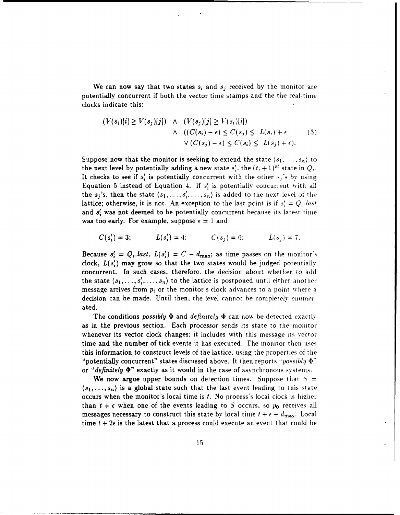We can now say that two states  $s_i$  and  $s_j$  received by the monitor are potentially concurrent if both the vector time stamps and the the real-time clocks indicate this:

$$
(V(s_i)[i] \ge V(s_j)[j]) \quad \land \quad (V(s_j)[j] \ge V(s_i)[i])
$$
  
 
$$
\land \quad ((C(s_i) - \epsilon) \le C(s_j) \le L(s_i) + \epsilon \qquad (5)
$$
  
 
$$
\lor (C(s_j) - \epsilon) \le C(s_i) \le L(s_j) + \epsilon).
$$

Suppose now that the monitor is seeking to extend the state  $\langle s_1, \ldots, s_n \rangle$  to the next level by potentially adding a new state  $s'$ , the  $(t_i + 1)^{st}$  state in  $Q_i$ . It checks to see if  $s_i$  is potentially concurrent with the other  $s_i$ 's by using Equation 5 instead of Equation 4. If  $s_i'$  is potentially concurrent with all the  $s_j$ 's, then the state  $\langle s_1, \ldots, s'_j, \ldots, s_n \rangle$  is added to the next level of the lattice; otherwise, it is not. An exception to the last point is if  $s' = Q_i$ *last* and  $s'$ , was not deemed to be potentially concurrent because its latest time was too early. For example, suppose  $\epsilon = 1$  and

$$
C(s'_i) = 3;
$$
  $L(s'_i) = 4;$   $C(s_j) = 6;$   $L(s_j) = 7.$ 

Because  $s_i' = Q_i$ . last,  $L(s_i') = C - d_{\text{max}}$ ; as time passes on the monitor's clock,  $L(s_i')$  may grow so that the two states would be judged potentially concurrent. In such cases, therefore, the decision about whether to add the state  $\langle s_1, \ldots, s'_i, \ldots, s_n \rangle$  to the lattice is postponed until either another message arrives from  $p_i$  or the monitor's clock advances to a point where a decision can be made. Until then, the level cannot be completely enuumerated.

The conditions *possibly*  $\Phi$  and *definitely*  $\Phi$  can now be detected exactly as in the previous section. Each processor sends its state to the monitor whenever its vector clock changes; it includes with this message its vector time and the number of tick events it has executed. The monitor then uses this information to construct levels of the lattice. using the properties of the "potentially concurrent" states discussed above. It then reports *"possibly* **('"** or *"definitely "* exactly as it would in the case of asynchronous svstenis.

We now argue upper bounds on detection times. Suppose that  $S =$  $\langle s_1,\ldots, s_n\rangle$  is a global state such that the last event leading to this state occurs when the monitor's local time is t. No process's local clock is higher than  $t + \epsilon$  when one of the events leading to S occurs, so  $p_0$  receives all messages necessary to construct this state by local time  $t + \epsilon + d_{\text{max}}$ . Local time  $t + 2\epsilon$  is the latest that a process could execute an event that could be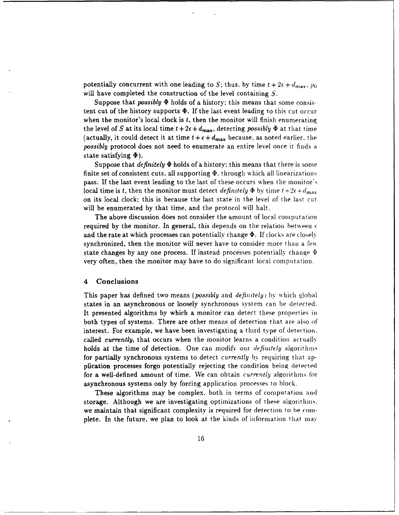potentially concurrent with one leading to S; thus, by time  $t + 2\epsilon + d_{\text{max}}$ ,  $p_0$ will have completed the construction of the level containing **S.**

Suppose that *possibly*  $\Phi$  holds of a history; this means that some consistent cut of the history supports  $\Phi$ . If the last event leading to this cut occur when the monitor's local clock is **t,** then the monitor will finish enumerating the level of *S* at its local time  $t + 2\epsilon + d_{\text{max}}$ , detecting *possibly*  $\Phi$  at that time (actually, it could detect it at time  $t + \epsilon + d_{\text{max}}$  because, as noted earlier, the *possibly* protocol does not need to enumerate an entire level once it finds a state satisfying  $\Phi$ ).

Suppose that *definitely*  $\Phi$  holds of a history; this means that there is some finite set of consistent cuts, all supporting  $\Phi$ , through which all linearizations pass. If the last event leading to the last of these occurs when the monitor's local time is t, then the monitor must detect *definitely*  $\Phi$  by time  $t+2\epsilon+d_{\text{max}}$ on its local clock; this is because the last state in the level of the last cut will be enumerated by that time, and the protocol will halt.

The above discussion does not consider the amount of local computation required by the monitor. In general, this depends on the relation between  $\epsilon$ and the rate at which processes can potentially change  $\Phi$ . If clocks are closely synchronized, then the monitor will never have to consider more than a few state changes by any one process. If instead processes potentially change  $\Phi$ very often, then the monitor may have to do significant local computation.

#### 4 Conclusions

This paper has defined two means *(possibly* and *definitely)* **by** which global states in an asynchronous or loosely synchronous system can be detected. It presented algorithms by which a monitor can detect these properties in both types of systems. There are other means of detection that are also of interest. For example, we have been investigating a third type of detection. called *currently,* that occurs when the monitor learns a condition actually holds at the time of detection. One can modify our *definitely* algorithms for partially synchronous systems to detect *currently* by requiring that application processes forgo potentially rejecting the condition being detected for a well-defined amount of time. We can obtain *currently* algoritlinis **for** asynchronous systems only by forcing application processes to block.

These algorithms may be complex, both in terms of computation and storage. Although we are investigating optimizations of these algorithms. we maintain that significant complexity is required for detection to be *coin*plete. In the future, we plan to look at the kinds of information that may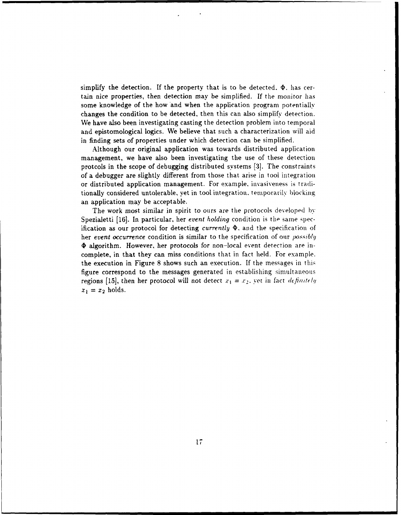simplify the detection. If the property that is to be detected. **P.** has certain nice properties, then detection may be simplified. If the monitor has some knowledge of the how and when the application program potentially changes the condition to be detected, then this can also simplify detection. We have also been investigating casting the detection problem into temporal and epistomological logics. We believe that such a characterization will aid in finding sets of properties under which detection can be simplified.

Although our original application was towards distributed application management, we have also been investigating the use of these detection protcols in the scope of debugging distributed systems **[3].** The constraints of a debugger are slightly different from those that arise in tool integration or distributed application management. For example. invasiveness is traditionally considered untolerable, yet in tool integration, temporarily blocking an application may be acceptable.

The work most similar in spirit to ours are the protocols developed by Spezialetti [16]. In particular, her *event holding* condition is the same specification as our protocol for detecting *currently*  $\Phi$ , and the specification of her *event occurrence* condition is similar to the specification of our *possibly*  $\Phi$  algorithm. However, her protocols for non-local event detection are incomplete, in that they can miss conditions that in fact held. For example. the execution in Figure 8 shows such an execution. If the messages in this figure correspond to the messages generated in establishing simultaneous regions [15], then her protocol will not detect  $x_1 = x_2$ , yet in fact definitely  $x_1 = x_2$  holds.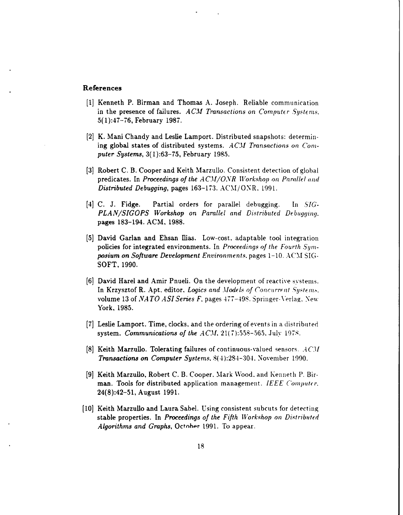### **References**

- [1] Kenneth P. Birman and Thomas A. Joseph. Reliable communication in the presence of failures. *ACM Transactions on Computer Systems.* 5(1):47-76, February 1987.
- [21 K. Mani Chandy and Leslie Lamport. Distributed snapshots: determining global states of distributed systems. *AC Transactions on Computer Systems,* 3(1):63-75, February 1985.
- [3] Robert C. B. Cooper and Keith Marzullo. Consistent detection of global predicates. In *Proceedings of the ACM/ONR Workshop on Parallel and Distributed Debugging, pages 163-173. ACM/ONR. 1991.*
- [4] C. J. Fidge. Partial orders for parallel debugging. In *SIG-PLAN/SIGOPS Workshop on Parallel and Distributed Debugging.* pages 183-194. ACM, 1988.
- [5] David Garlan and Ehsan Ilias. Low-cost. adaptable tool integration policies for integrated environments. In *Proceedings of the Fourth Symposium on Software Development Environments.* pages 1-10. ACM. **SIG-**SOFT, 1990.
- [6] David Harel and Amir Pnueli. On the development of reactive svstenis. In Krzysztof R. Apt, editor, *Logics and Models of Concurrent Systems*. volume 13 of *NATO ASI Series F.* pages 477-498. Springer-Verlag. New York, 1985.
- [7] Leslie Lamport. Time, clocks, and the ordering of events in a distributed system. *Communications of the ACM*. 21(7):558-565. July 1978.
- [8] Keith Marzullo. Tolerating failures of continuous-valued sensors. *AC'L Transactions on Computer Systems,* 8(4):284-304. November 1990.
- [9] Keith Marzullo, Robert C. B. Cooper. Mark Wood. and Kenneth P. Birman. Tools for distributed application management. *IEEE* Computer. 24(8):42-51, August 1991.
- [10] Keith Marzullo and Laura Sabel. Using consistent subcuts for detecting stable properties. In *Proceedings of the Fifth Workshop on Distributed Algorithms and Graphs, October 1991. To appear.*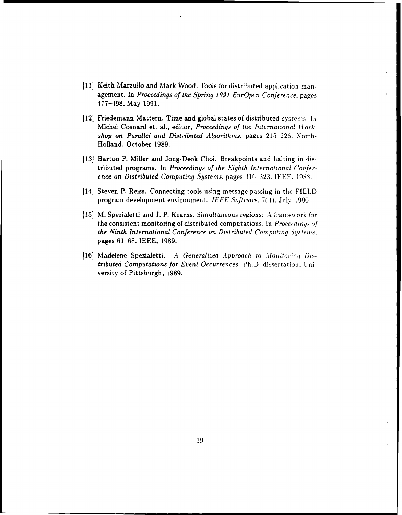- [11] Keith Marzullo and Mark Wood. Tools for distributed application management. In *Proceedings of the Spring 1991 EurOpen Conference.* pages 477-498, May 1991.
- (121 Friedemann Mattern. Time and global states of distributed systems. In Michel Cosnard et. al., editor, *Proceedings of the International Workshop on Parallel and Dist,ibuted Algorithms.* pages 215-226. North-Holland, October 1989.
- [13] Barton P. Miller and Jong-Deok Choi. Breakpoints and halting in distributed programs. In *Proceedings of the Eighth International Conference on Distributed Computing Systems. pages 316-323. IEEE. 1988.*
- [14] Steven P. Reiss. Connecting tools using message passing in the FIELD program development environment. *IEEE Software.* 7(4). July 1990.
- [151 M. Spezialetti and J. P. Kearns. Simultaneous regions: A framework **for** the consistent monitoring of distributed computations. In *Proceeding., of* the Ninth International Conference on Distributed Computing Systems. pages 61-68. **IEEE,** 1989.
- [16] Madelene Spezialetti. A Generalized Approach to Monitoring Dis*tributed Computations for Event Occurrences. Ph.D. dissertation. Uni*versity of Pittsburgh, 1989.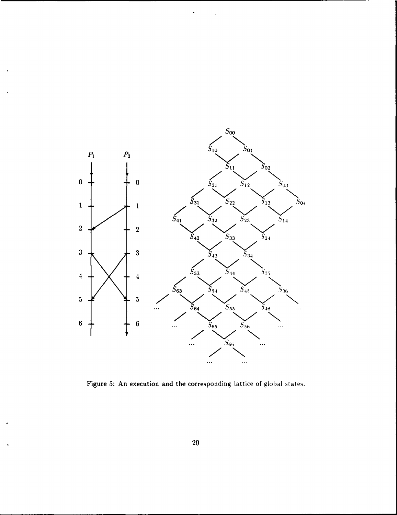

Figure **5:** An execution and the corresponding lattice of global **states.**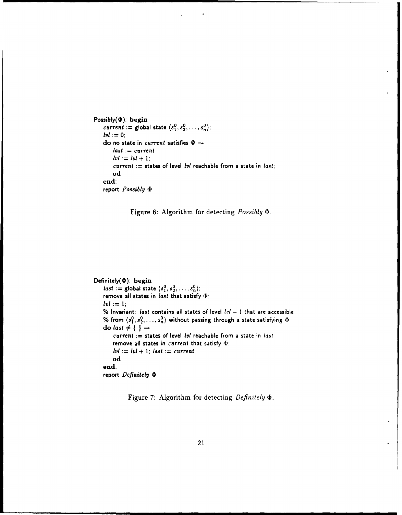```
\text{Possibly}(\Phi): begin<br>
current := global state \langle s_1^0, s_2^0, \ldots, s_n^0 \rangle:

     do no state in current satisfies \Phi \rightarrowlast := current
           \frac{1}{2} \frac{1}{2} \frac{1}{2} \frac{1}{2} \frac{1}{2} \frac{1}{2}current := states of level lvi reachable from a state in last:
           od
     end;
     report Possibly b
```


```
Definitely(\Phi): begin
    last := global state \langle s_1^0, s_2^0, \ldots, s_n^0 \rangle;
    remove all states in last that satisfy 4:
    \mathbf{I} \mathbf{v} \mathbf{I} := 1;
    % Invariant: last contains all states of level IN' - I that are accessible
    % from \langle s_1^0, s_2^0, \ldots, s_n^0 \rangle without passing through a state satisfying \Phido last \neq \{ \} \rightarrowcurrent := states of level lvi reachable from a state in last
         remove all states in current that satisfy b:
         Ivl := lvl + 1; last := current
         od
    end;
    report Definitely 0
```
Figure **7:** Algorithm for detecting *Definitely .*